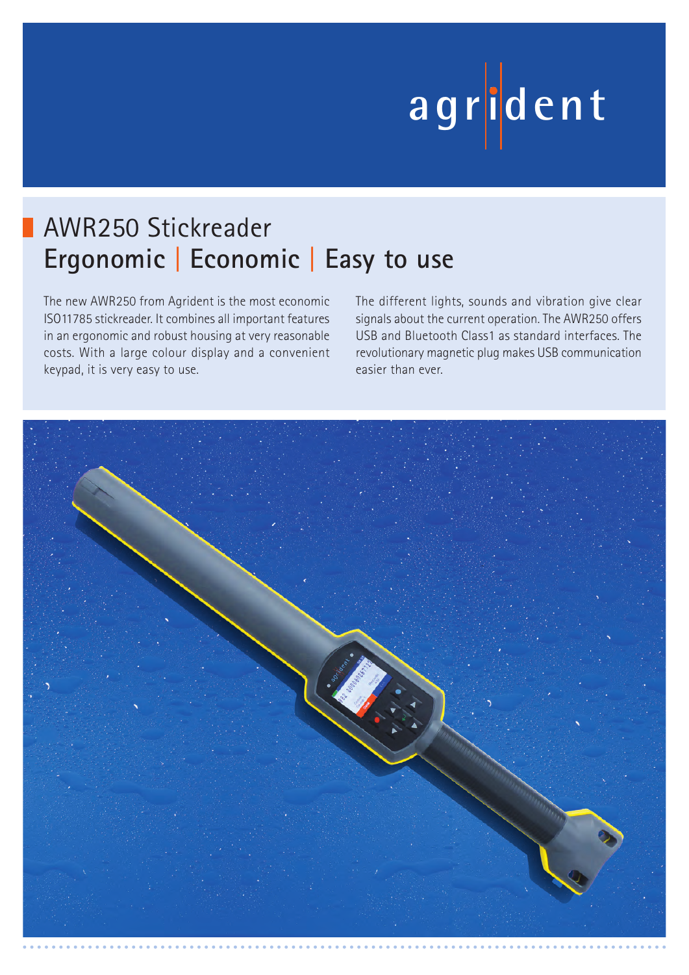# **ag r iden t**

## AWR250 Stickreader **Ergonomic** | **Economic** | **Easy to use**

The new AWR250 from Agrident is the most economic ISO11785 stickreader. It combines all important features in an ergonomic and robust housing at very reasonable costs. With a large colour display and a convenient keypad, it is very easy to use.

The different lights, sounds and vibration give clear signals about the current operation. The AWR250 offers USB and Bluetooth Class1 as standard interfaces. The revolutionary magnetic plug makes USB communication easier than ever.